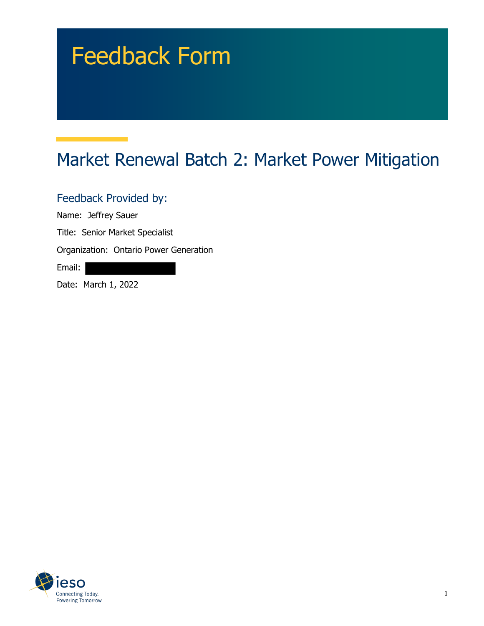## Feedback Form

## Market Renewal Batch 2: Market Power Mitigation

Feedback Provided by:

Name: Jeffrey Sauer

Title: Senior Market Specialist

Organization: Ontario Power Generation

Email:

Date: March 1, 2022

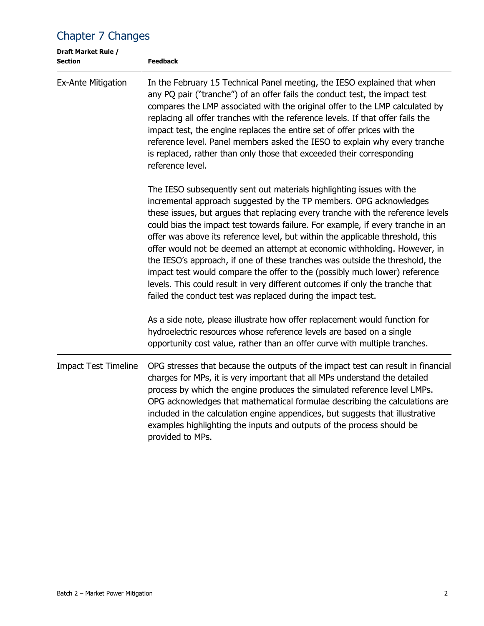## Chapter 7 Changes

| Draft Market Rule /<br><b>Section</b> | <b>Feedback</b>                                                                                                                                                                                                                                                                                                                                                                                                                                                                                                                                                                                                                                                                                                                                                                                 |
|---------------------------------------|-------------------------------------------------------------------------------------------------------------------------------------------------------------------------------------------------------------------------------------------------------------------------------------------------------------------------------------------------------------------------------------------------------------------------------------------------------------------------------------------------------------------------------------------------------------------------------------------------------------------------------------------------------------------------------------------------------------------------------------------------------------------------------------------------|
| Ex-Ante Mitigation                    | In the February 15 Technical Panel meeting, the IESO explained that when<br>any PQ pair ("tranche") of an offer fails the conduct test, the impact test<br>compares the LMP associated with the original offer to the LMP calculated by<br>replacing all offer tranches with the reference levels. If that offer fails the<br>impact test, the engine replaces the entire set of offer prices with the<br>reference level. Panel members asked the IESO to explain why every tranche<br>is replaced, rather than only those that exceeded their corresponding<br>reference level.                                                                                                                                                                                                               |
|                                       | The IESO subsequently sent out materials highlighting issues with the<br>incremental approach suggested by the TP members. OPG acknowledges<br>these issues, but argues that replacing every tranche with the reference levels<br>could bias the impact test towards failure. For example, if every tranche in an<br>offer was above its reference level, but within the applicable threshold, this<br>offer would not be deemed an attempt at economic withholding. However, in<br>the IESO's approach, if one of these tranches was outside the threshold, the<br>impact test would compare the offer to the (possibly much lower) reference<br>levels. This could result in very different outcomes if only the tranche that<br>failed the conduct test was replaced during the impact test. |
|                                       | As a side note, please illustrate how offer replacement would function for<br>hydroelectric resources whose reference levels are based on a single<br>opportunity cost value, rather than an offer curve with multiple tranches.                                                                                                                                                                                                                                                                                                                                                                                                                                                                                                                                                                |
| <b>Impact Test Timeline</b>           | OPG stresses that because the outputs of the impact test can result in financial<br>charges for MPs, it is very important that all MPs understand the detailed<br>process by which the engine produces the simulated reference level LMPs.<br>OPG acknowledges that mathematical formulae describing the calculations are<br>included in the calculation engine appendices, but suggests that illustrative<br>examples highlighting the inputs and outputs of the process should be<br>provided to MPs.                                                                                                                                                                                                                                                                                         |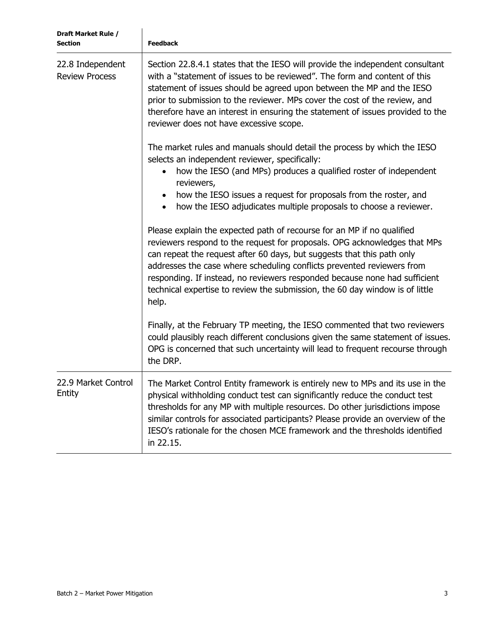| Draft Market Rule /<br><b>Section</b>     | <b>Feedback</b>                                                                                                                                                                                                                                                                                                                                                                                                                                                                |
|-------------------------------------------|--------------------------------------------------------------------------------------------------------------------------------------------------------------------------------------------------------------------------------------------------------------------------------------------------------------------------------------------------------------------------------------------------------------------------------------------------------------------------------|
| 22.8 Independent<br><b>Review Process</b> | Section 22.8.4.1 states that the IESO will provide the independent consultant<br>with a "statement of issues to be reviewed". The form and content of this<br>statement of issues should be agreed upon between the MP and the IESO<br>prior to submission to the reviewer. MPs cover the cost of the review, and<br>therefore have an interest in ensuring the statement of issues provided to the<br>reviewer does not have excessive scope.                                 |
|                                           | The market rules and manuals should detail the process by which the IESO<br>selects an independent reviewer, specifically:<br>how the IESO (and MPs) produces a qualified roster of independent<br>reviewers,<br>how the IESO issues a request for proposals from the roster, and<br>$\bullet$<br>how the IESO adjudicates multiple proposals to choose a reviewer.<br>$\bullet$                                                                                               |
|                                           | Please explain the expected path of recourse for an MP if no qualified<br>reviewers respond to the request for proposals. OPG acknowledges that MPs<br>can repeat the request after 60 days, but suggests that this path only<br>addresses the case where scheduling conflicts prevented reviewers from<br>responding. If instead, no reviewers responded because none had sufficient<br>technical expertise to review the submission, the 60 day window is of little<br>help. |
|                                           | Finally, at the February TP meeting, the IESO commented that two reviewers<br>could plausibly reach different conclusions given the same statement of issues.<br>OPG is concerned that such uncertainty will lead to frequent recourse through<br>the DRP.                                                                                                                                                                                                                     |
| 22.9 Market Control<br>Entity             | The Market Control Entity framework is entirely new to MPs and its use in the<br>physical withholding conduct test can significantly reduce the conduct test<br>thresholds for any MP with multiple resources. Do other jurisdictions impose<br>similar controls for associated participants? Please provide an overview of the<br>IESO's rationale for the chosen MCE framework and the thresholds identified<br>in 22.15.                                                    |